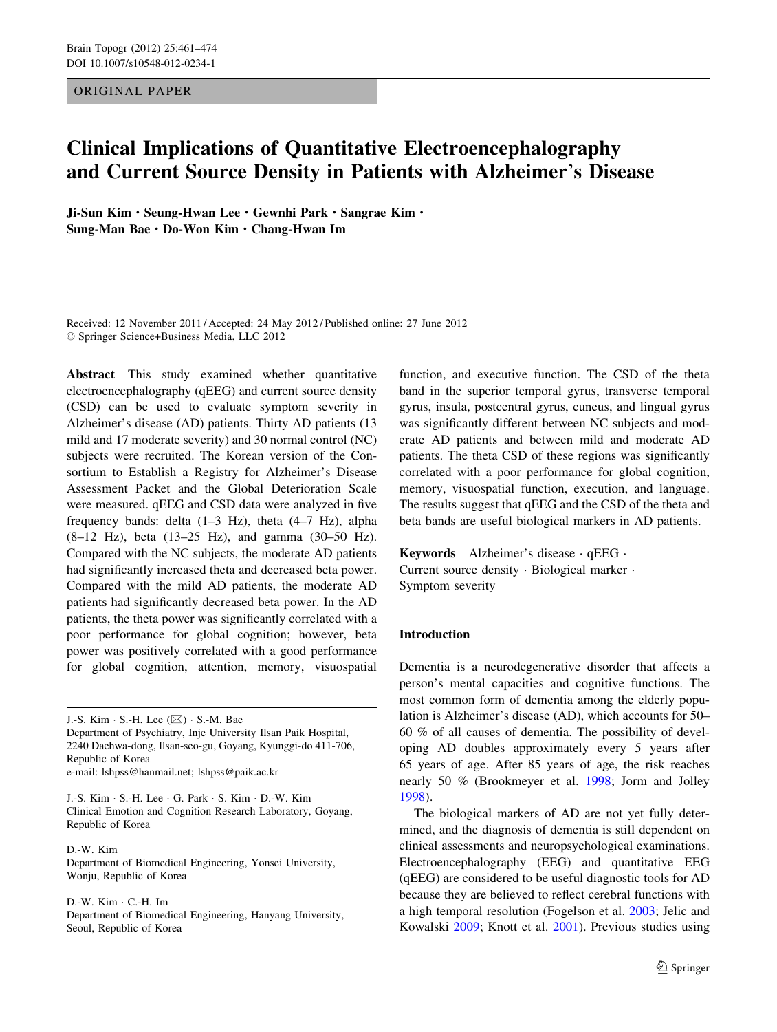ORIGINAL PAPER

# Clinical Implications of Quantitative Electroencephalography and Current Source Density in Patients with Alzheimer's Disease

Ji-Sun Kim · Seung-Hwan Lee · Gewnhi Park · Sangrae Kim · Sung-Man Bae · Do-Won Kim · Chang-Hwan Im

Received: 12 November 2011 / Accepted: 24 May 2012 / Published online: 27 June 2012 © Springer Science+Business Media, LLC 2012

Abstract This study examined whether quantitative electroencephalography (qEEG) and current source density (CSD) can be used to evaluate symptom severity in Alzheimer's disease (AD) patients. Thirty AD patients (13 mild and 17 moderate severity) and 30 normal control (NC) subjects were recruited. The Korean version of the Consortium to Establish a Registry for Alzheimer's Disease Assessment Packet and the Global Deterioration Scale were measured. qEEG and CSD data were analyzed in five frequency bands: delta (1–3 Hz), theta (4–7 Hz), alpha (8–12 Hz), beta (13–25 Hz), and gamma (30–50 Hz). Compared with the NC subjects, the moderate AD patients had significantly increased theta and decreased beta power. Compared with the mild AD patients, the moderate AD patients had significantly decreased beta power. In the AD patients, the theta power was significantly correlated with a poor performance for global cognition; however, beta power was positively correlated with a good performance for global cognition, attention, memory, visuospatial

J.-S. Kim · S.-H. Lee (⊠) · S.-M. Bae Department of Psychiatry, Inje University Ilsan Paik Hospital, 2240 Daehwa-dong, Ilsan-seo-gu, Goyang, Kyunggi-do 411-706, Republic of Korea

e-mail: lshpss@hanmail.net; lshpss@paik.ac.kr

J.-S. Kim · S.-H. Lee · G. Park · S. Kim · D.-W. Kim Clinical Emotion and Cognition Research Laboratory, Goyang, Republic of Korea

D.-W. Kim Department of Biomedical Engineering, Yonsei University, Wonju, Republic of Korea

D.-W. Kim · C.-H. Im Department of Biomedical Engineering, Hanyang University, Seoul, Republic of Korea

function, and executive function. The CSD of the theta band in the superior temporal gyrus, transverse temporal gyrus, insula, postcentral gyrus, cuneus, and lingual gyrus was significantly different between NC subjects and moderate AD patients and between mild and moderate AD patients. The theta CSD of these regions was significantly correlated with a poor performance for global cognition, memory, visuospatial function, execution, and language. The results suggest that qEEG and the CSD of the theta and beta bands are useful biological markers in AD patients.

Keywords Alzheimer's disease · qEEG · Current source density · Biological marker · Symptom severity

# Introduction

Dementia is a neurodegenerative disorder that affects a person's mental capacities and cognitive functions. The most common form of dementia among the elderly population is Alzheimer's disease (AD), which accounts for 50– 60 % of all causes of dementia. The possibility of developing AD doubles approximately every 5 years after 65 years of age. After 85 years of age, the risk reaches nearly 50 % (Brookmeyer et al. [1998;](#page-12-0) Jorm and Jolley [1998](#page-12-0)).

The biological markers of AD are not yet fully determined, and the diagnosis of dementia is still dependent on clinical assessments and neuropsychological examinations. Electroencephalography (EEG) and quantitative EEG (qEEG) are considered to be useful diagnostic tools for AD because they are believed to reflect cerebral functions with a high temporal resolution (Fogelson et al. [2003](#page-12-0); Jelic and Kowalski [2009;](#page-12-0) Knott et al. [2001\)](#page-12-0). Previous studies using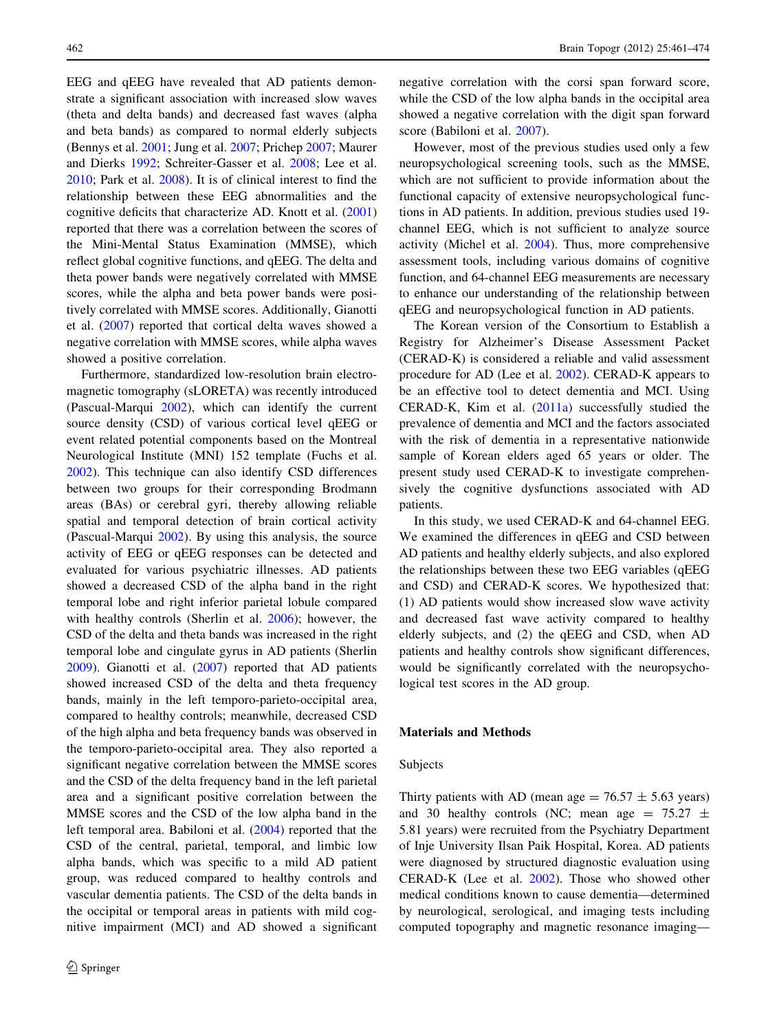EEG and qEEG have revealed that AD patients demonstrate a significant association with increased slow waves (theta and delta bands) and decreased fast waves (alpha and beta bands) as compared to normal elderly subjects (Bennys et al. [2001](#page-12-0); Jung et al. [2007](#page-12-0); Prichep [2007;](#page-13-0) Maurer and Dierks [1992;](#page-13-0) Schreiter-Gasser et al. [2008](#page-13-0); Lee et al. [2010;](#page-12-0) Park et al. [2008\)](#page-13-0). It is of clinical interest to find the relationship between these EEG abnormalities and the cognitive deficits that characterize AD. Knott et al. ([2001\)](#page-12-0) reported that there was a correlation between the scores of the Mini-Mental Status Examination (MMSE), which reflect global cognitive functions, and qEEG. The delta and theta power bands were negatively correlated with MMSE scores, while the alpha and beta power bands were positively correlated with MMSE scores. Additionally, Gianotti et al. [\(2007](#page-12-0)) reported that cortical delta waves showed a negative correlation with MMSE scores, while alpha waves showed a positive correlation.

Furthermore, standardized low-resolution brain electromagnetic tomography (sLORETA) was recently introduced (Pascual-Marqui [2002\)](#page-13-0), which can identify the current source density (CSD) of various cortical level qEEG or event related potential components based on the Montreal Neurological Institute (MNI) 152 template (Fuchs et al. [2002\)](#page-12-0). This technique can also identify CSD differences between two groups for their corresponding Brodmann areas (BAs) or cerebral gyri, thereby allowing reliable spatial and temporal detection of brain cortical activity (Pascual-Marqui [2002](#page-13-0)). By using this analysis, the source activity of EEG or qEEG responses can be detected and evaluated for various psychiatric illnesses. AD patients showed a decreased CSD of the alpha band in the right temporal lobe and right inferior parietal lobule compared with healthy controls (Sherlin et al. [2006](#page-13-0)); however, the CSD of the delta and theta bands was increased in the right temporal lobe and cingulate gyrus in AD patients (Sherlin [2009\)](#page-13-0). Gianotti et al. ([2007\)](#page-12-0) reported that AD patients showed increased CSD of the delta and theta frequency bands, mainly in the left temporo-parieto-occipital area, compared to healthy controls; meanwhile, decreased CSD of the high alpha and beta frequency bands was observed in the temporo-parieto-occipital area. They also reported a significant negative correlation between the MMSE scores and the CSD of the delta frequency band in the left parietal area and a significant positive correlation between the MMSE scores and the CSD of the low alpha band in the left temporal area. Babiloni et al. ([2004\)](#page-12-0) reported that the CSD of the central, parietal, temporal, and limbic low alpha bands, which was specific to a mild AD patient group, was reduced compared to healthy controls and vascular dementia patients. The CSD of the delta bands in the occipital or temporal areas in patients with mild cognitive impairment (MCI) and AD showed a significant negative correlation with the corsi span forward score, while the CSD of the low alpha bands in the occipital area showed a negative correlation with the digit span forward score (Babiloni et al. [2007](#page-12-0)).

However, most of the previous studies used only a few neuropsychological screening tools, such as the MMSE, which are not sufficient to provide information about the functional capacity of extensive neuropsychological functions in AD patients. In addition, previous studies used 19 channel EEG, which is not sufficient to analyze source activity (Michel et al. [2004](#page-13-0)). Thus, more comprehensive assessment tools, including various domains of cognitive function, and 64-channel EEG measurements are necessary to enhance our understanding of the relationship between qEEG and neuropsychological function in AD patients.

The Korean version of the Consortium to Establish a Registry for Alzheimer's Disease Assessment Packet (CERAD-K) is considered a reliable and valid assessment procedure for AD (Lee et al. [2002](#page-12-0)). CERAD-K appears to be an effective tool to detect dementia and MCI. Using CERAD-K, Kim et al. [\(2011a\)](#page-12-0) successfully studied the prevalence of dementia and MCI and the factors associated with the risk of dementia in a representative nationwide sample of Korean elders aged 65 years or older. The present study used CERAD-K to investigate comprehensively the cognitive dysfunctions associated with AD patients.

In this study, we used CERAD-K and 64-channel EEG. We examined the differences in qEEG and CSD between AD patients and healthy elderly subjects, and also explored the relationships between these two EEG variables (qEEG and CSD) and CERAD-K scores. We hypothesized that: (1) AD patients would show increased slow wave activity and decreased fast wave activity compared to healthy elderly subjects, and (2) the qEEG and CSD, when AD patients and healthy controls show significant differences, would be significantly correlated with the neuropsychological test scores in the AD group.

# Materials and Methods

# Subjects

Thirty patients with AD (mean age  $= 76.57 \pm 5.63$  years) and 30 healthy controls (NC; mean age =  $75.27 \pm$ 5.81 years) were recruited from the Psychiatry Department of Inje University Ilsan Paik Hospital, Korea. AD patients were diagnosed by structured diagnostic evaluation using CERAD-K (Lee et al. [2002\)](#page-12-0). Those who showed other medical conditions known to cause dementia—determined by neurological, serological, and imaging tests including computed topography and magnetic resonance imaging—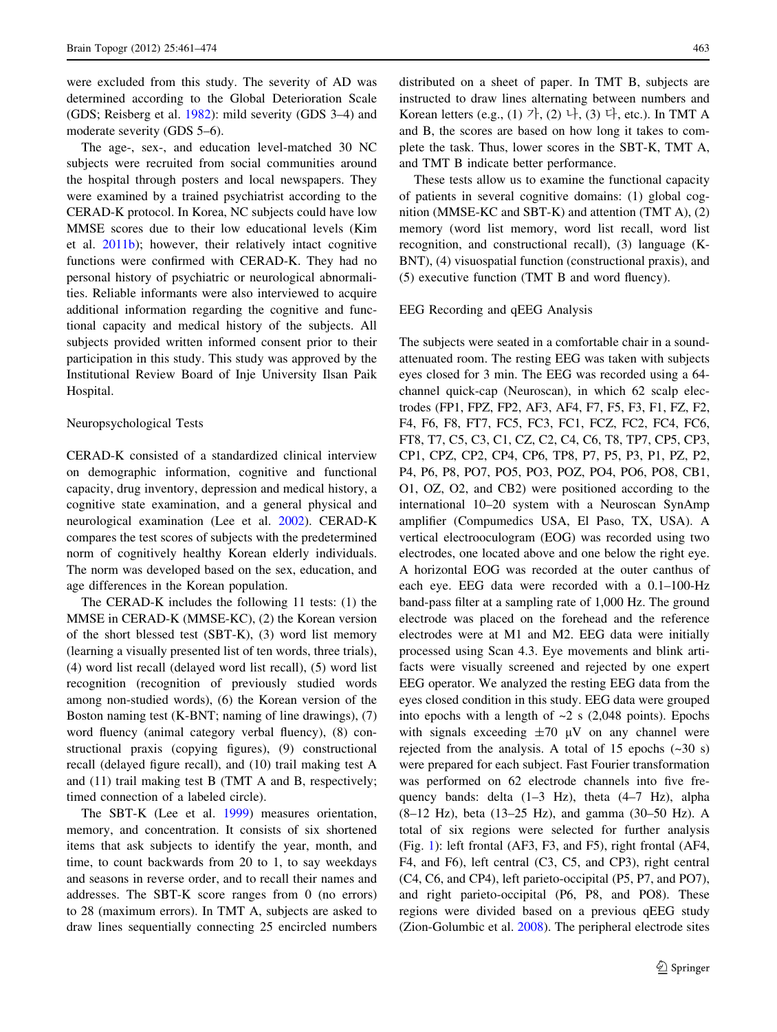were excluded from this study. The severity of AD was determined according to the Global Deterioration Scale (GDS; Reisberg et al. [1982\)](#page-13-0): mild severity (GDS 3–4) and moderate severity (GDS 5–6).

The age-, sex-, and education level-matched 30 NC subjects were recruited from social communities around the hospital through posters and local newspapers. They were examined by a trained psychiatrist according to the CERAD-K protocol. In Korea, NC subjects could have low MMSE scores due to their low educational levels (Kim et al. [2011b\)](#page-12-0); however, their relatively intact cognitive functions were confirmed with CERAD-K. They had no personal history of psychiatric or neurological abnormalities. Reliable informants were also interviewed to acquire additional information regarding the cognitive and functional capacity and medical history of the subjects. All subjects provided written informed consent prior to their participation in this study. This study was approved by the Institutional Review Board of Inje University Ilsan Paik Hospital.

### Neuropsychological Tests

CERAD-K consisted of a standardized clinical interview on demographic information, cognitive and functional capacity, drug inventory, depression and medical history, a cognitive state examination, and a general physical and neurological examination (Lee et al. [2002\)](#page-12-0). CERAD-K compares the test scores of subjects with the predetermined norm of cognitively healthy Korean elderly individuals. The norm was developed based on the sex, education, and age differences in the Korean population.

The CERAD-K includes the following 11 tests: (1) the MMSE in CERAD-K (MMSE-KC), (2) the Korean version of the short blessed test (SBT-K), (3) word list memory (learning a visually presented list of ten words, three trials), (4) word list recall (delayed word list recall), (5) word list recognition (recognition of previously studied words among non-studied words), (6) the Korean version of the Boston naming test (K-BNT; naming of line drawings), (7) word fluency (animal category verbal fluency), (8) constructional praxis (copying figures), (9) constructional recall (delayed figure recall), and (10) trail making test A and (11) trail making test B (TMT A and B, respectively; timed connection of a labeled circle).

The SBT-K (Lee et al. [1999](#page-12-0)) measures orientation, memory, and concentration. It consists of six shortened items that ask subjects to identify the year, month, and time, to count backwards from 20 to 1, to say weekdays and seasons in reverse order, and to recall their names and addresses. The SBT-K score ranges from 0 (no errors) to 28 (maximum errors). In TMT A, subjects are asked to draw lines sequentially connecting 25 encircled numbers distributed on a sheet of paper. In TMT B, subjects are instructed to draw lines alternating between numbers and Korean letters (e.g., (1) 가, (2) 나, (3) 다, etc.). In TMT A and B, the scores are based on how long it takes to complete the task. Thus, lower scores in the SBT-K, TMT A, and TMT B indicate better performance.

These tests allow us to examine the functional capacity of patients in several cognitive domains: (1) global cognition (MMSE-KC and SBT-K) and attention (TMT A), (2) memory (word list memory, word list recall, word list recognition, and constructional recall), (3) language (K-BNT), (4) visuospatial function (constructional praxis), and (5) executive function (TMT B and word fluency).

## EEG Recording and qEEG Analysis

The subjects were seated in a comfortable chair in a soundattenuated room. The resting EEG was taken with subjects eyes closed for 3 min. The EEG was recorded using a 64 channel quick-cap (Neuroscan), in which 62 scalp electrodes (FP1, FPZ, FP2, AF3, AF4, F7, F5, F3, F1, FZ, F2, F4, F6, F8, FT7, FC5, FC3, FC1, FCZ, FC2, FC4, FC6, FT8, T7, C5, C3, C1, CZ, C2, C4, C6, T8, TP7, CP5, CP3, CP1, CPZ, CP2, CP4, CP6, TP8, P7, P5, P3, P1, PZ, P2, P4, P6, P8, PO7, PO5, PO3, POZ, PO4, PO6, PO8, CB1, O1, OZ, O2, and CB2) were positioned according to the international 10–20 system with a Neuroscan SynAmp amplifier (Compumedics USA, El Paso, TX, USA). A vertical electrooculogram (EOG) was recorded using two electrodes, one located above and one below the right eye. A horizontal EOG was recorded at the outer canthus of each eye. EEG data were recorded with a 0.1–100-Hz band-pass filter at a sampling rate of 1,000 Hz. The ground electrode was placed on the forehead and the reference electrodes were at M1 and M2. EEG data were initially processed using Scan 4.3. Eye movements and blink artifacts were visually screened and rejected by one expert EEG operator. We analyzed the resting EEG data from the eyes closed condition in this study. EEG data were grouped into epochs with a length of  $\sim$ 2 s (2,048 points). Epochs with signals exceeding  $\pm 70 \mu V$  on any channel were rejected from the analysis. A total of 15 epochs  $(\sim 30 \text{ s})$ were prepared for each subject. Fast Fourier transformation was performed on 62 electrode channels into five frequency bands: delta (1–3 Hz), theta (4–7 Hz), alpha (8–12 Hz), beta (13–25 Hz), and gamma (30–50 Hz). A total of six regions were selected for further analysis (Fig. [1](#page-3-0)): left frontal (AF3, F3, and F5), right frontal (AF4, F4, and F6), left central (C3, C5, and CP3), right central (C4, C6, and CP4), left parieto-occipital (P5, P7, and PO7), and right parieto-occipital (P6, P8, and PO8). These regions were divided based on a previous qEEG study (Zion-Golumbic et al. [2008\)](#page-13-0). The peripheral electrode sites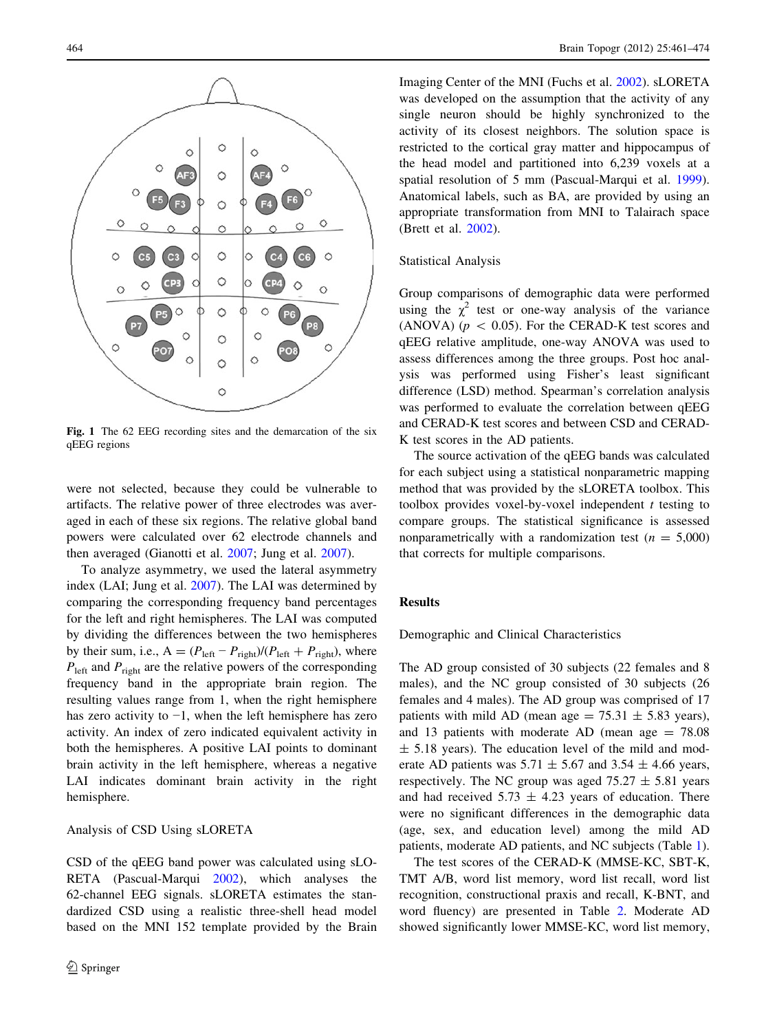<span id="page-3-0"></span>

Fig. 1 The 62 EEG recording sites and the demarcation of the six qEEG regions

were not selected, because they could be vulnerable to artifacts. The relative power of three electrodes was averaged in each of these six regions. The relative global band powers were calculated over 62 electrode channels and then averaged (Gianotti et al. [2007](#page-12-0); Jung et al. [2007](#page-12-0)).

To analyze asymmetry, we used the lateral asymmetry index (LAI; Jung et al. [2007](#page-12-0)). The LAI was determined by comparing the corresponding frequency band percentages for the left and right hemispheres. The LAI was computed by dividing the differences between the two hemispheres by their sum, i.e.,  $A = (P_{\text{left}} - P_{\text{right}})/(P_{\text{left}} + P_{\text{right}})$ , where  $P_{\text{left}}$  and  $P_{\text{right}}$  are the relative powers of the corresponding frequency band in the appropriate brain region. The resulting values range from 1, when the right hemisphere has zero activity to −1, when the left hemisphere has zero activity. An index of zero indicated equivalent activity in both the hemispheres. A positive LAI points to dominant brain activity in the left hemisphere, whereas a negative LAI indicates dominant brain activity in the right hemisphere.

# Analysis of CSD Using sLORETA

CSD of the qEEG band power was calculated using sLO-RETA (Pascual-Marqui [2002](#page-13-0)), which analyses the 62-channel EEG signals. sLORETA estimates the standardized CSD using a realistic three-shell head model based on the MNI 152 template provided by the Brain

Imaging Center of the MNI (Fuchs et al. [2002](#page-12-0)). sLORETA was developed on the assumption that the activity of any single neuron should be highly synchronized to the activity of its closest neighbors. The solution space is restricted to the cortical gray matter and hippocampus of the head model and partitioned into 6,239 voxels at a spatial resolution of 5 mm (Pascual-Marqui et al. [1999](#page-13-0)). Anatomical labels, such as BA, are provided by using an appropriate transformation from MNI to Talairach space (Brett et al. [2002\)](#page-12-0).

# Statistical Analysis

Group comparisons of demographic data were performed using the  $\chi^2$  test or one-way analysis of the variance (ANOVA) ( $p \, < \, 0.05$ ). For the CERAD-K test scores and qEEG relative amplitude, one-way ANOVA was used to assess differences among the three groups. Post hoc analysis was performed using Fisher's least significant difference (LSD) method. Spearman's correlation analysis was performed to evaluate the correlation between qEEG and CERAD-K test scores and between CSD and CERAD-K test scores in the AD patients.

The source activation of the qEEG bands was calculated for each subject using a statistical nonparametric mapping method that was provided by the sLORETA toolbox. This toolbox provides voxel-by-voxel independent  $t$  testing to compare groups. The statistical significance is assessed nonparametrically with a randomization test ( $n = 5,000$ ) that corrects for multiple comparisons.

# Results

Demographic and Clinical Characteristics

The AD group consisted of 30 subjects (22 females and 8 males), and the NC group consisted of 30 subjects (26 females and 4 males). The AD group was comprised of 17 patients with mild AD (mean age =  $75.31 \pm 5.83$  years), and 13 patients with moderate AD (mean age  $= 78.08$ )  $\pm$  5.18 years). The education level of the mild and moderate AD patients was  $5.71 \pm 5.67$  and  $3.54 \pm 4.66$  years, respectively. The NC group was aged  $75.27 \pm 5.81$  years and had received  $5.73 \pm 4.23$  years of education. There were no significant differences in the demographic data (age, sex, and education level) among the mild AD patients, moderate AD patients, and NC subjects (Table [1](#page-4-0)).

The test scores of the CERAD-K (MMSE-KC, SBT-K, TMT A/B, word list memory, word list recall, word list recognition, constructional praxis and recall, K-BNT, and word fluency) are presented in Table [2](#page-4-0). Moderate AD showed significantly lower MMSE-KC, word list memory,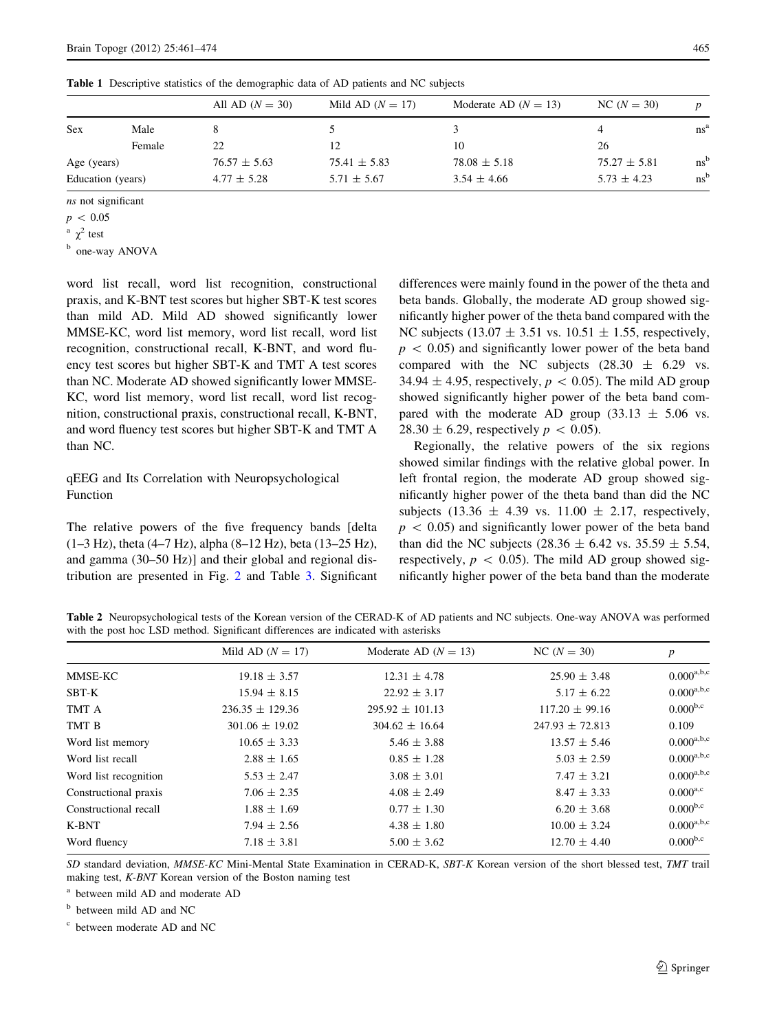|                   |        | All AD $(N = 30)$ | Mild AD $(N = 17)$ | Moderate AD $(N = 13)$ | $NC(N = 30)$     |                 |
|-------------------|--------|-------------------|--------------------|------------------------|------------------|-----------------|
| <b>Sex</b>        | Male   |                   |                    |                        | 4                | ns <sup>a</sup> |
|                   | Female | 22                | 12                 | 10                     | 26               |                 |
| Age (years)       |        | $76.57 \pm 5.63$  | $75.41 \pm 5.83$   | $78.08 \pm 5.18$       | $75.27 \pm 5.81$ | $ns^b$          |
| Education (years) |        | $4.77 \pm 5.28$   | $5.71 \pm 5.67$    | $3.54 \pm 4.66$        | $5.73 \pm 4.23$  | $ns^b$          |

<span id="page-4-0"></span>Table 1 Descriptive statistics of the demographic data of AD patients and NC subjects

ns not significant

 $a \chi^2$  test

<sup>b</sup> one-way ANOVA

word list recall, word list recognition, constructional praxis, and K-BNT test scores but higher SBT-K test scores than mild AD. Mild AD showed significantly lower MMSE-KC, word list memory, word list recall, word list recognition, constructional recall, K-BNT, and word fluency test scores but higher SBT-K and TMT A test scores than NC. Moderate AD showed significantly lower MMSE-KC, word list memory, word list recall, word list recognition, constructional praxis, constructional recall, K-BNT, and word fluency test scores but higher SBT-K and TMT A than NC.

# qEEG and Its Correlation with Neuropsychological Function

The relative powers of the five frequency bands [delta (1–3 Hz), theta (4–7 Hz), alpha (8–12 Hz), beta (13–25 Hz), and gamma (30–50 Hz)] and their global and regional distribution are presented in Fig. [2](#page-5-0) and Table [3](#page-6-0). Significant differences were mainly found in the power of the theta and beta bands. Globally, the moderate AD group showed significantly higher power of the theta band compared with the NC subjects (13.07  $\pm$  3.51 vs. 10.51  $\pm$  1.55, respectively,  $p \, < \, 0.05$ ) and significantly lower power of the beta band compared with the NC subjects  $(28.30 \pm 6.29 \text{ vs.}$ 34.94  $\pm$  4.95, respectively,  $p < 0.05$ ). The mild AD group showed significantly higher power of the beta band compared with the moderate AD group  $(33.13 \pm 5.06 \text{ vs.})$ 28.30  $\pm$  6.29, respectively  $p \, < 0.05$ ).

Regionally, the relative powers of the six regions showed similar findings with the relative global power. In left frontal region, the moderate AD group showed significantly higher power of the theta band than did the NC subjects (13.36  $\pm$  4.39 vs. 11.00  $\pm$  2.17, respectively,  $p \, < \, 0.05$ ) and significantly lower power of the beta band than did the NC subjects (28.36  $\pm$  6.42 vs. 35.59  $\pm$  5.54, respectively,  $p \, < \, 0.05$ ). The mild AD group showed significantly higher power of the beta band than the moderate

Table 2 Neuropsychological tests of the Korean version of the CERAD-K of AD patients and NC subjects. One-way ANOVA was performed with the post hoc LSD method. Significant differences are indicated with asterisks

|                       | Mild AD $(N = 17)$  | Moderate AD $(N = 13)$ | $NC(N = 30)$        | $\boldsymbol{p}$ |
|-----------------------|---------------------|------------------------|---------------------|------------------|
| MMSE-KC               | $19.18 \pm 3.57$    | $12.31 \pm 4.78$       | $25.90 \pm 3.48$    | $0.000^{a,b,c}$  |
| SBT-K                 | $15.94 \pm 8.15$    | $22.92 \pm 3.17$       | $5.17 \pm 6.22$     | $0.000^{a,b,c}$  |
| TMT A                 | $236.35 \pm 129.36$ | $295.92 \pm 101.13$    | $117.20 \pm 99.16$  | $0.000^{b,c}$    |
| TMT B                 | $301.06 \pm 19.02$  | $304.62 \pm 16.64$     | $247.93 \pm 72.813$ | 0.109            |
| Word list memory      | $10.65 \pm 3.33$    | $5.46 \pm 3.88$        | $13.57 \pm 5.46$    | $0.000^{a,b,c}$  |
| Word list recall      | $2.88 \pm 1.65$     | $0.85 \pm 1.28$        | $5.03 \pm 2.59$     | $0.000^{a,b,c}$  |
| Word list recognition | $5.53 \pm 2.47$     | $3.08 \pm 3.01$        | $7.47 \pm 3.21$     | $0.000^{a,b,c}$  |
| Constructional praxis | $7.06 \pm 2.35$     | $4.08 \pm 2.49$        | $8.47 \pm 3.33$     | $0.000^{a,c}$    |
| Constructional recall | $1.88 \pm 1.69$     | $0.77 \pm 1.30$        | $6.20 \pm 3.68$     | $0.000^{b,c}$    |
| K-BNT                 | $7.94 \pm 2.56$     | $4.38 \pm 1.80$        | $10.00 \pm 3.24$    | $0.000^{a,b,c}$  |
| Word fluency          | $7.18 \pm 3.81$     | $5.00 \pm 3.62$        | $12.70 \pm 4.40$    | $0.000^{b,c}$    |

SD standard deviation, MMSE-KC Mini-Mental State Examination in CERAD-K, SBT-K Korean version of the short blessed test, TMT trail making test, K-BNT Korean version of the Boston naming test

<sup>a</sup> between mild AD and moderate AD

<sup>b</sup> between mild AD and NC

<sup>c</sup> between moderate AD and NC

 $p \, < \, 0.05$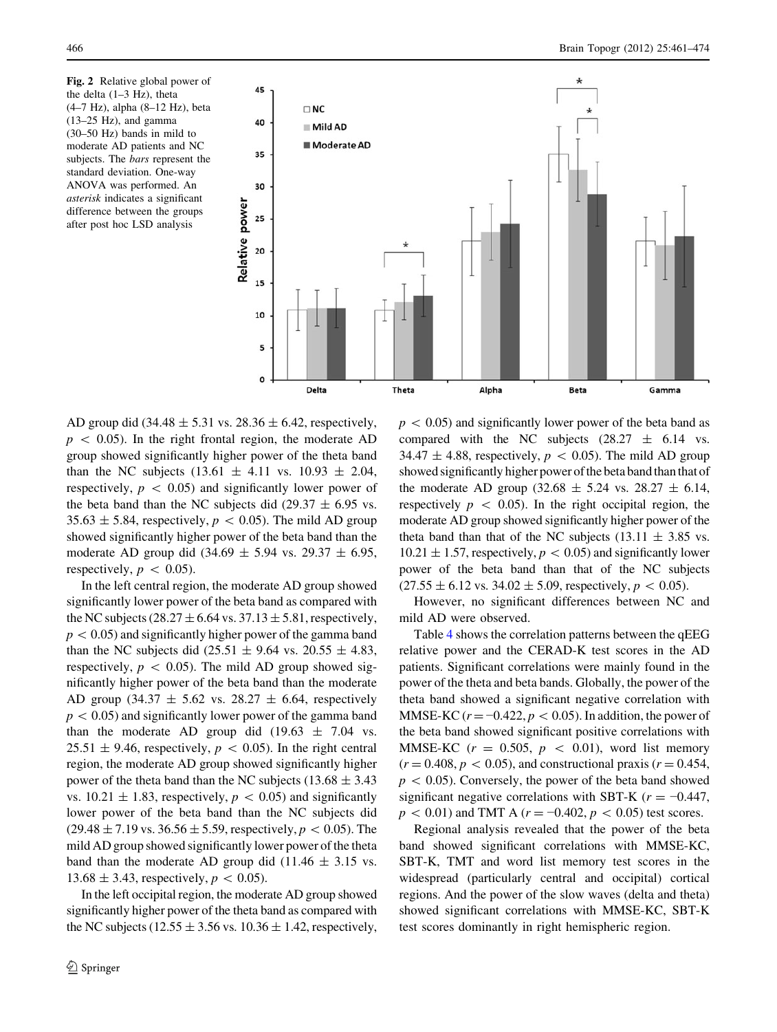<span id="page-5-0"></span>Fig. 2 Relative global power of the delta (1–3 Hz), theta (4–7 Hz), alpha (8–12 Hz), beta  $(13-25$  Hz), and gamma (30–50 Hz) bands in mild to moderate AD patients and NC subjects. The bars represent the standard deviation. One-way ANOVA was performed. An asterisk indicates a significant difference between the groups after post hoc LSD analysis



AD group did  $(34.48 \pm 5.31 \text{ vs. } 28.36 \pm 6.42, \text{ respectively},$  $p \, < \, 0.05$ ). In the right frontal region, the moderate AD group showed significantly higher power of the theta band than the NC subjects  $(13.61 \pm 4.11 \text{ vs. } 10.93 \pm 2.04,$ respectively,  $p \, < \, 0.05$ ) and significantly lower power of the beta band than the NC subjects did (29.37  $\pm$  6.95 vs.  $35.63 \pm 5.84$ , respectively,  $p \lt 0.05$ ). The mild AD group showed significantly higher power of the beta band than the moderate AD group did  $(34.69 \pm 5.94 \text{ vs. } 29.37 \pm 6.95,$ respectively,  $p \, < \, 0.05$ ).

In the left central region, the moderate AD group showed significantly lower power of the beta band as compared with the NC subjects (28.27  $\pm$  6.64 vs. 37.13  $\pm$  5.81, respectively,  $p < 0.05$ ) and significantly higher power of the gamma band than the NC subjects did (25.51  $\pm$  9.64 vs. 20.55  $\pm$  4.83, respectively,  $p \, < \, 0.05$ ). The mild AD group showed significantly higher power of the beta band than the moderate AD group (34.37  $\pm$  5.62 vs. 28.27  $\pm$  6.64, respectively  $p \lt 0.05$ ) and significantly lower power of the gamma band than the moderate AD group did  $(19.63 \pm 7.04 \text{ vs.})$  $25.51 \pm 9.46$ , respectively,  $p \lt 0.05$ ). In the right central region, the moderate AD group showed significantly higher power of the theta band than the NC subjects (13.68  $\pm$  3.43 vs.  $10.21 \pm 1.83$ , respectively,  $p \lt 0.05$ ) and significantly lower power of the beta band than the NC subjects did  $(29.48 \pm 7.19 \text{ vs. } 36.56 \pm 5.59,$  respectively,  $p < 0.05$ ). The mild AD group showed significantly lower power of the theta band than the moderate AD group did  $(11.46 \pm 3.15 \text{ vs.})$ 13.68  $\pm$  3.43, respectively,  $p \, < 0.05$ ).

In the left occipital region, the moderate AD group showed significantly higher power of the theta band as compared with the NC subjects (12.55  $\pm$  3.56 vs. 10.36  $\pm$  1.42, respectively,

 $p \, < 0.05$ ) and significantly lower power of the beta band as compared with the NC subjects  $(28.27 \pm 6.14 \text{ vs.}$ 34.47  $\pm$  4.88, respectively,  $p \, < 0.05$ ). The mild AD group showed significantly higher power of the beta band than that of the moderate AD group (32.68  $\pm$  5.24 vs. 28.27  $\pm$  6.14, respectively  $p \, < \, 0.05$ ). In the right occipital region, the moderate AD group showed significantly higher power of the theta band than that of the NC subjects (13.11  $\pm$  3.85 vs.  $10.21 \pm 1.57$ , respectively,  $p \lt 0.05$ ) and significantly lower power of the beta band than that of the NC subjects  $(27.55 \pm 6.12 \text{ vs. } 34.02 \pm 5.09, \text{ respectively}, p < 0.05).$ 

However, no significant differences between NC and mild AD were observed.

Table [4](#page-7-0) shows the correlation patterns between the qEEG relative power and the CERAD-K test scores in the AD patients. Significant correlations were mainly found in the power of the theta and beta bands. Globally, the power of the theta band showed a significant negative correlation with MMSE-KC ( $r = -0.422$ ,  $p < 0.05$ ). In addition, the power of the beta band showed significant positive correlations with MMSE-KC  $(r = 0.505, p < 0.01)$ , word list memory  $(r = 0.408, p < 0.05)$ , and constructional praxis  $(r = 0.454,$  $p \, < 0.05$ ). Conversely, the power of the beta band showed significant negative correlations with SBT-K ( $r = -0.447$ ,  $p \, < 0.01$ ) and TMT A ( $r = -0.402$ ,  $p \, < 0.05$ ) test scores.

Regional analysis revealed that the power of the beta band showed significant correlations with MMSE-KC, SBT-K, TMT and word list memory test scores in the widespread (particularly central and occipital) cortical regions. And the power of the slow waves (delta and theta) showed significant correlations with MMSE-KC, SBT-K test scores dominantly in right hemispheric region.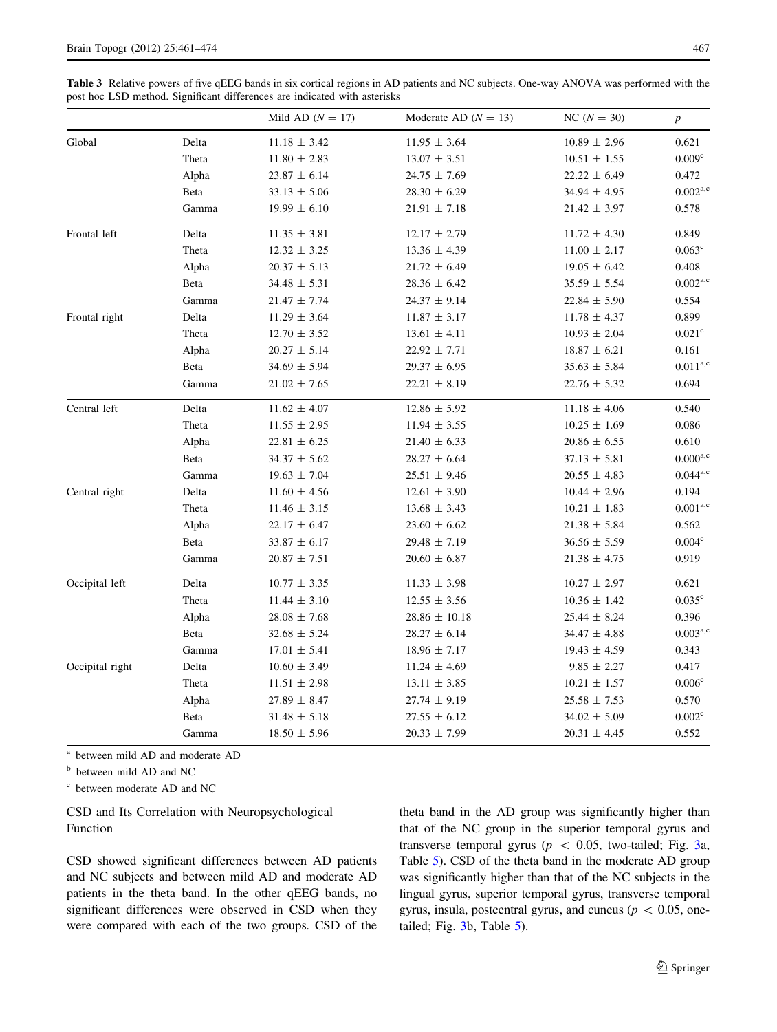<span id="page-6-0"></span>Table 3 Relative powers of five qEEG bands in six cortical regions in AD patients and NC subjects. One-way ANOVA was performed with the post hoc LSD method. Significant differences are indicated with asterisks

|                 |       | Mild AD $(N = 17)$ | Moderate AD $(N = 13)$ | $NC(N = 30)$       | $\boldsymbol{p}$   |
|-----------------|-------|--------------------|------------------------|--------------------|--------------------|
| Global          | Delta | $11.18 \pm 3.42$   | $11.95 \pm 3.64$       | $10.89 \pm 2.96$   | 0.621              |
|                 | Theta | $11.80 \pm 2.83$   | $13.07 \pm 3.51$       | $10.51 \pm 1.55$   | $0.009^{\rm c}$    |
|                 | Alpha | $23.87 \pm 6.14$   | $24.75 \pm 7.69$       | $22.22 \pm 6.49$   | 0.472              |
|                 | Beta  | $33.13 \pm 5.06$   | $28.30 \pm 6.29$       | $34.94 \pm 4.95$   | $0.002^{a,c}$      |
|                 | Gamma | $19.99 \pm 6.10$   | $21.91 \pm 7.18$       | $21.42 \pm 3.97$   | 0.578              |
| Frontal left    | Delta | $11.35 \pm 3.81$   | $12.17 \pm 2.79$       | $11.72 \pm 4.30$   | 0.849              |
|                 | Theta | $12.32 \pm 3.25$   | $13.36 \pm 4.39$       | $11.00 \pm 2.17$   | $0.063^{\circ}$    |
|                 | Alpha | $20.37 \pm 5.13$   | $21.72 \pm 6.49$       | $19.05 \pm 6.42$   | 0.408              |
|                 | Beta  | $34.48 \pm 5.31$   | $28.36 \pm 6.42$       | $35.59 \pm 5.54$   | $0.002^{a,c}$      |
|                 | Gamma | $21.47 \pm 7.74$   | $24.37 \pm 9.14$       | $22.84 \pm 5.90$   | 0.554              |
| Frontal right   | Delta | $11.29 \pm 3.64$   | $11.87 \pm 3.17$       | $11.78 \pm 4.37$   | 0.899              |
|                 | Theta | $12.70 \pm 3.52$   | $13.61 \pm 4.11$       | $10.93 \pm 2.04$   | $0.021^{\rm c}$    |
|                 | Alpha | $20.27 \pm 5.14$   | $22.92 \pm 7.71$       | $18.87 \pm 6.21$   | 0.161              |
|                 | Beta  | $34.69 \pm 5.94$   | $29.37 \pm 6.95$       | $35.63 \pm 5.84$   | $0.011^{a,c}$      |
|                 | Gamma | $21.02 \pm 7.65$   | $22.21 \pm 8.19$       | $22.76 \pm 5.32$   | 0.694              |
| Central left    | Delta | $11.62\,\pm\,4.07$ | $12.86 \pm 5.92$       | $11.18 \pm 4.06$   | 0.540              |
|                 | Theta | $11.55\,\pm\,2.95$ | $11.94 \pm 3.55$       | $10.25 \pm 1.69$   | 0.086              |
|                 | Alpha | $22.81 \pm 6.25$   | $21.40 \pm 6.33$       | $20.86\,\pm\,6.55$ | 0.610              |
|                 | Beta  | $34.37 \pm 5.62$   | $28.27 \pm 6.64$       | $37.13 \pm 5.81$   | $0.000^{a,c}$      |
|                 | Gamma | $19.63 \pm 7.04$   | $25.51 \pm 9.46$       | $20.55 \pm 4.83$   | $0.044^{a,c}$      |
| Central right   | Delta | $11.60 \pm 4.56$   | $12.61 \pm 3.90$       | $10.44 \pm 2.96$   | 0.194              |
|                 | Theta | $11.46 \pm 3.15$   | $13.68 \pm 3.43$       | $10.21 \pm 1.83$   | $0.001^{a,c}$      |
|                 | Alpha | $22.17 \pm 6.47$   | $23.60 \pm 6.62$       | $21.38 \pm 5.84$   | 0.562              |
|                 | Beta  | $33.87 \pm 6.17$   | $29.48 \pm 7.19$       | $36.56 \pm 5.59$   | 0.004 <sup>c</sup> |
|                 | Gamma | $20.87\,\pm\,7.51$ | $20.60 \pm 6.87$       | $21.38 \pm 4.75$   | 0.919              |
| Occipital left  | Delta | $10.77 \pm 3.35$   | $11.33 \pm 3.98$       | $10.27 \pm 2.97$   | 0.621              |
|                 | Theta | $11.44 \pm 3.10$   | $12.55 \pm 3.56$       | $10.36 \pm 1.42$   | $0.035^{\circ}$    |
|                 | Alpha | $28.08 \pm 7.68$   | $28.86 \pm 10.18$      | $25.44 \pm 8.24$   | 0.396              |
|                 | Beta  | $32.68 \pm 5.24$   | $28.27 \pm 6.14$       | $34.47 \pm 4.88$   | $0.003^{a,c}$      |
|                 | Gamma | $17.01 \pm 5.41$   | $18.96 \pm 7.17$       | $19.43 \pm 4.59$   | 0.343              |
| Occipital right | Delta | $10.60 \pm 3.49$   | $11.24 \pm 4.69$       | $9.85 \pm 2.27$    | 0.417              |
|                 | Theta | $11.51 \pm 2.98$   | $13.11 \pm 3.85$       | $10.21 \pm 1.57$   | $0.006^{\rm c}$    |
|                 | Alpha | $27.89 \pm 8.47$   | $27.74 \pm 9.19$       | $25.58 \pm 7.53$   | 0.570              |
|                 | Beta  | $31.48 \pm 5.18$   | $27.55 \pm 6.12$       | $34.02 \pm 5.09$   | $0.002^{\rm c}$    |
|                 | Gamma | $18.50 \pm 5.96$   | $20.33 \pm 7.99$       | $20.31 \pm 4.45$   | 0.552              |

<sup>a</sup> between mild AD and moderate AD

<sup>b</sup> between mild AD and NC

<sup>c</sup> between moderate AD and NC

CSD and Its Correlation with Neuropsychological Function

CSD showed significant differences between AD patients and NC subjects and between mild AD and moderate AD patients in the theta band. In the other qEEG bands, no significant differences were observed in CSD when they were compared with each of the two groups. CSD of the theta band in the AD group was significantly higher than that of the NC group in the superior temporal gyrus and transverse temporal gyrus ( $p \, < \, 0.05$ , two-tailed; Fig. [3](#page-8-0)a, Table [5\)](#page-9-0). CSD of the theta band in the moderate AD group was significantly higher than that of the NC subjects in the lingual gyrus, superior temporal gyrus, transverse temporal gyrus, insula, postcentral gyrus, and cuneus ( $p \, < \, 0.05$ , onetailed; Fig. [3b](#page-8-0), Table [5](#page-9-0)).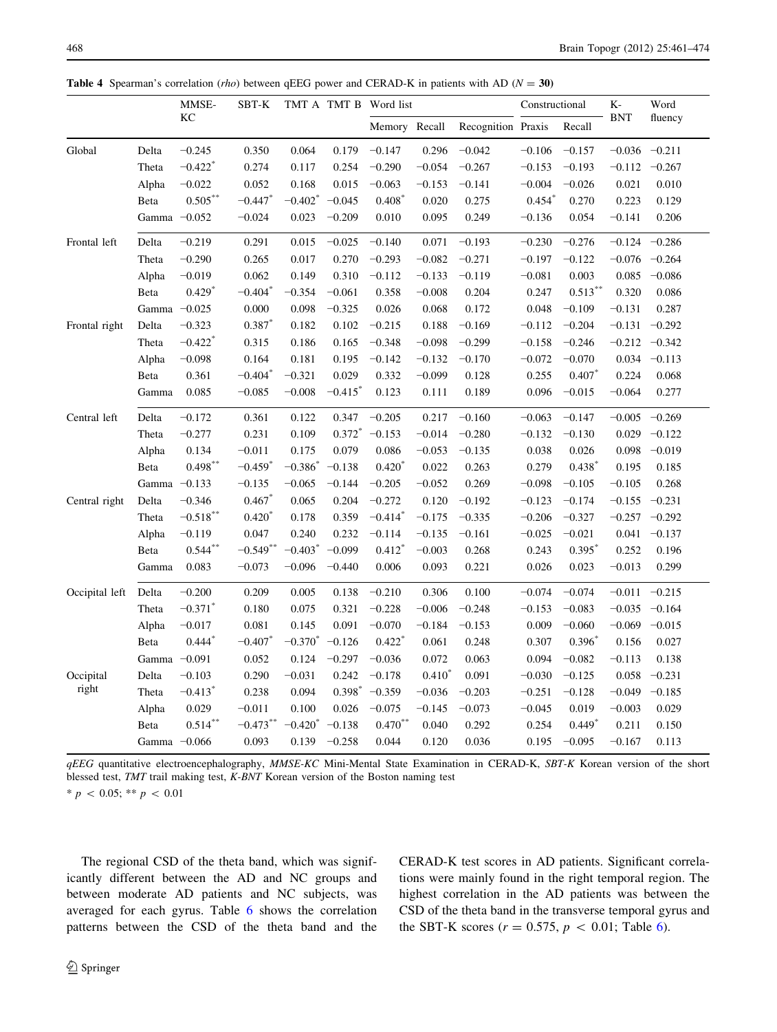|                |                | MMSE-                 | SBT-K                 |                       |            | TMT A TMT B Word list |          | Constructional     |          | K-                | Word       |                 |
|----------------|----------------|-----------------------|-----------------------|-----------------------|------------|-----------------------|----------|--------------------|----------|-------------------|------------|-----------------|
|                |                | KC                    |                       |                       |            | Memory Recall         |          | Recognition Praxis |          | Recall            | <b>BNT</b> | fluency         |
| Global         | Delta          | $-0.245$              | 0.350                 | 0.064                 | 0.179      | $-0.147$              | 0.296    | $-0.042$           | $-0.106$ | $-0.157$          | $-0.036$   | $-0.211$        |
|                | Theta          | $-0.422$ <sup>*</sup> | 0.274                 | 0.117                 | 0.254      | $-0.290$              | $-0.054$ | $-0.267$           | $-0.153$ | $-0.193$          | $-0.112$   | $-0.267$        |
|                | Alpha          | $-0.022$              | 0.052                 | 0.168                 | 0.015      | $-0.063$              | $-0.153$ | $-0.141$           | $-0.004$ | $-0.026$          | 0.021      | 0.010           |
|                | Beta           | $0.505***$            | $-0.447$              | $-0.402$ <sup>*</sup> | $-0.045$   | $0.408*$              | 0.020    | 0.275              | $0.454*$ | 0.270             | 0.223      | 0.129           |
|                | Gamma $-0.052$ |                       | $-0.024$              | 0.023                 | $-0.209$   | 0.010                 | 0.095    | 0.249              | $-0.136$ | 0.054             | $-0.141$   | 0.206           |
| Frontal left   | Delta          | $-0.219$              | 0.291                 | 0.015                 | $-0.025$   | $-0.140$              | 0.071    | $-0.193$           | $-0.230$ | $-0.276$          | $-0.124$   | $-0.286$        |
|                | Theta          | $-0.290$              | 0.265                 | 0.017                 | 0.270      | $-0.293$              | $-0.082$ | $-0.271$           | $-0.197$ | $-0.122$          | $-0.076$   | $-0.264$        |
|                | Alpha          | $-0.019$              | 0.062                 | 0.149                 | 0.310      | $-0.112$              | $-0.133$ | $-0.119$           | $-0.081$ | 0.003             | 0.085      | $-0.086$        |
|                | Beta           | $0.429*$              | $-0.404$ <sup>*</sup> | $-0.354$              | $-0.061$   | 0.358                 | $-0.008$ | 0.204              | 0.247    | $0.513***$        | 0.320      | 0.086           |
|                | Gamma $-0.025$ |                       | 0.000                 | 0.098                 | $-0.325$   | 0.026                 | 0.068    | 0.172              | 0.048    | $-0.109$          | $-0.131$   | 0.287           |
| Frontal right  | Delta          | $-0.323$              | $0.387*$              | 0.182                 | 0.102      | $-0.215$              | 0.188    | $-0.169$           | $-0.112$ | $-0.204$          | $-0.131$   | $-0.292$        |
|                | Theta          | $-0.422$ <sup>*</sup> | 0.315                 | 0.186                 | 0.165      | $-0.348$              | $-0.098$ | $-0.299$           | $-0.158$ | $-0.246$          | $-0.212$   | $-0.342$        |
|                | Alpha          | $-0.098$              | 0.164                 | 0.181                 | 0.195      | $-0.142$              | $-0.132$ | $-0.170$           | $-0.072$ | $-0.070$          | 0.034      | $-0.113$        |
|                | Beta           | 0.361                 | $-0.404$ <sup>*</sup> | $-0.321$              | 0.029      | 0.332                 | $-0.099$ | 0.128              | 0.255    | 0.407             | 0.224      | 0.068           |
|                | Gamma          | 0.085                 | $-0.085$              | $-0.008$              | $-0.415$ * | 0.123                 | 0.111    | 0.189              | 0.096    | $-0.015$          | $-0.064$   | 0.277           |
| Central left   | Delta          | $-0.172$              | 0.361                 | 0.122                 | 0.347      | $-0.205$              | 0.217    | $-0.160$           | $-0.063$ | $-0.147$          | $-0.005$   | $-0.269$        |
|                | Theta          | $-0.277$              | 0.231                 | 0.109                 | $0.372*$   | $-0.153$              | $-0.014$ | $-0.280$           | $-0.132$ | $-0.130$          | 0.029      | $-0.122$        |
|                | Alpha          | 0.134                 | $-0.011$              | 0.175                 | 0.079      | 0.086                 | $-0.053$ | $-0.135$           | 0.038    | 0.026             | 0.098      | $-0.019$        |
|                | Beta           | $0.498***$            | $-0.459$ <sup>*</sup> | $-0.386*$             | $-0.138$   | $0.420*$              | 0.022    | 0.263              | 0.279    | $0.438*$          | 0.195      | 0.185           |
|                | Gamma $-0.133$ |                       | $-0.135$              | $-0.065$              | $-0.144$   | $-0.205$              | $-0.052$ | 0.269              | $-0.098$ | $-0.105$          | $-0.105$   | 0.268           |
| Central right  | Delta          | $-0.346$              | $0.467*$              | 0.065                 | 0.204      | $-0.272$              | 0.120    | $-0.192$           | $-0.123$ | $-0.174$          | $-0.155$   | $-0.231$        |
|                | Theta          | $-0.518***$           | $0.420*$              | 0.178                 | 0.359      | $-0.414$ <sup>*</sup> | $-0.175$ | $-0.335$           | $-0.206$ | $-0.327$          |            | $-0.257 -0.292$ |
|                | Alpha          | $-0.119$              | 0.047                 | 0.240                 | 0.232      | $-0.114$              | $-0.135$ | $-0.161$           | $-0.025$ | $-0.021$          | 0.041      | $-0.137$        |
|                | Beta           | $0.544***$            | $-0.549**$            | $-0.403$ <sup>*</sup> | $-0.099$   | $0.412*$              | $-0.003$ | 0.268              | 0.243    | $0.395^{*}$       | 0.252      | 0.196           |
|                | Gamma          | 0.083                 | $-0.073$              | $-0.096$              | $-0.440$   | 0.006                 | 0.093    | 0.221              | 0.026    | 0.023             | $-0.013$   | 0.299           |
| Occipital left | Delta          | $-0.200$              | 0.209                 | 0.005                 | 0.138      | $-0.210$              | 0.306    | 0.100              | $-0.074$ | $-0.074$          | $-0.011$   | $-0.215$        |
|                | Theta          | $-0.371$ <sup>*</sup> | 0.180                 | 0.075                 | 0.321      | $-0.228$              | $-0.006$ | $-0.248$           | $-0.153$ | $-0.083$          | $-0.035$   | $-0.164$        |
|                | Alpha          | $-0.017$              | 0.081                 | 0.145                 | 0.091      | $-0.070$              | $-0.184$ | $-0.153$           | 0.009    | $-0.060$          | $-0.069$   | $-0.015$        |
|                | Beta           | $0.444$ <sup>*</sup>  | $-0.407$              | $-0.370*$             | $-0.126$   | $0.422$ <sup>*</sup>  | 0.061    | 0.248              | 0.307    | $0.396^{\degree}$ | 0.156      | 0.027           |
|                | Gamma $-0.091$ |                       | 0.052                 | 0.124                 | $-0.297$   | $-0.036$              | 0.072    | 0.063              | 0.094    | $-0.082$          | $-0.113$   | 0.138           |
| Occipital      | Delta          | $-0.103$              | 0.290                 | $-0.031$              | 0.242      | $-0.178$              | $0.410*$ | 0.091              | $-0.030$ | $-0.125$          | 0.058      | $-0.231$        |
| right          | Theta          | $-0.413$ <sup>*</sup> | 0.238                 | 0.094                 | $0.398*$   | $-0.359$              | $-0.036$ | $-0.203$           | $-0.251$ | $-0.128$          | $-0.049$   | $-0.185$        |
|                | Alpha          | 0.029                 | $-0.011$              | 0.100                 | 0.026      | $-0.075$              | $-0.145$ | $-0.073$           | $-0.045$ | 0.019             | $-0.003$   | 0.029           |
|                | Beta           | $0.514***$            | $-0.473**$            | $-0.420$ <sup>*</sup> | $-0.138$   | $0.470**$             | 0.040    | 0.292              | 0.254    | $0.449*$          | 0.211      | 0.150           |
|                | Gamma $-0.066$ |                       | 0.093                 | 0.139                 | $-0.258$   | 0.044                 | 0.120    | 0.036              | 0.195    | $-0.095$          | $-0.167$   | 0.113           |

<span id="page-7-0"></span>**Table 4** Spearman's correlation (*rho*) between qEEG power and CERAD-K in patients with AD ( $N = 30$ )

qEEG quantitative electroencephalography, MMSE-KC Mini-Mental State Examination in CERAD-K, SBT-K Korean version of the short blessed test, TMT trail making test, K-BNT Korean version of the Boston naming test

 $* p \, 0.05; ** p \, 0.01$ 

The regional CSD of the theta band, which was significantly different between the AD and NC groups and between moderate AD patients and NC subjects, was averaged for each gyrus. Table [6](#page-9-0) shows the correlation patterns between the CSD of the theta band and the CERAD-K test scores in AD patients. Significant correlations were mainly found in the right temporal region. The highest correlation in the AD patients was between the CSD of the theta band in the transverse temporal gyrus and the SBT-K scores ( $r = 0.575$ ,  $p \, < 0.01$ ; Table [6](#page-9-0)).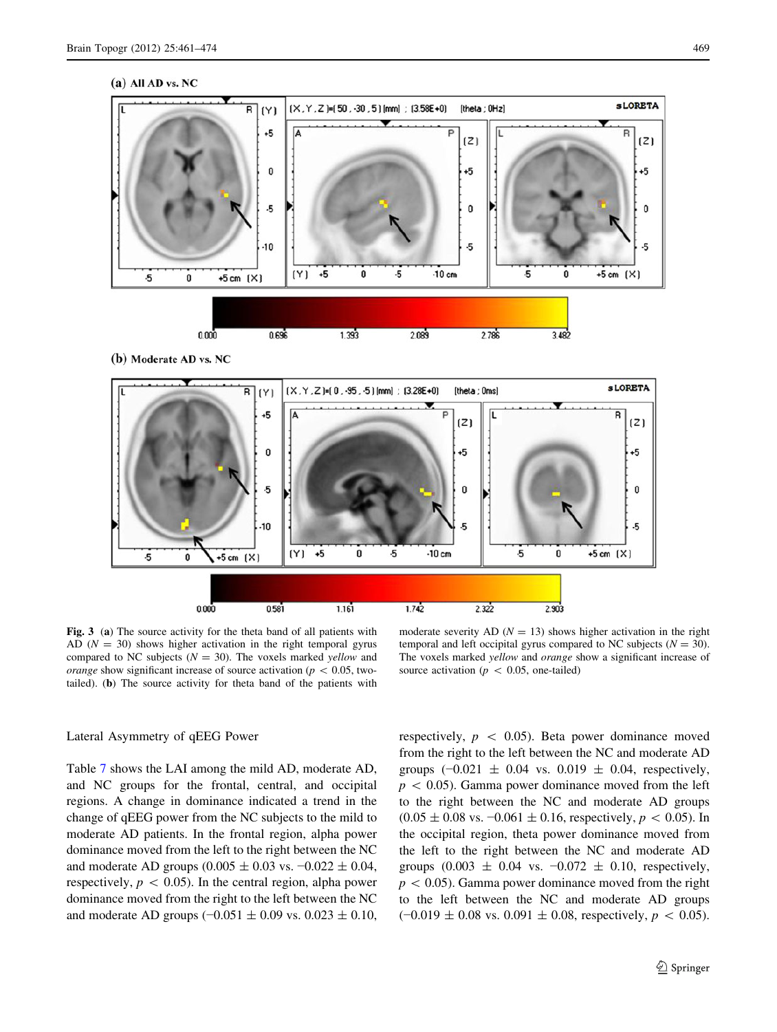#### (a) All AD vs. NC

<span id="page-8-0"></span>

(b) Moderate AD vs. NC



Fig. 3 (a) The source activity for the theta band of all patients with AD  $(N = 30)$  shows higher activation in the right temporal gyrus compared to NC subjects ( $N = 30$ ). The voxels marked yellow and *orange* show significant increase of source activation ( $p \, 0.05$ , twotailed). (b) The source activity for theta band of the patients with

moderate severity AD ( $N = 13$ ) shows higher activation in the right temporal and left occipital gyrus compared to NC subjects ( $N = 30$ ). The voxels marked *yellow* and *orange* show a significant increase of source activation ( $p \, < \, 0.05$ , one-tailed)

# Lateral Asymmetry of qEEG Power

Table [7](#page-10-0) shows the LAI among the mild AD, moderate AD, and NC groups for the frontal, central, and occipital regions. A change in dominance indicated a trend in the change of qEEG power from the NC subjects to the mild to moderate AD patients. In the frontal region, alpha power dominance moved from the left to the right between the NC and moderate AD groups  $(0.005 \pm 0.03 \text{ vs. } -0.022 \pm 0.04,$ respectively,  $p < 0.05$ ). In the central region, alpha power dominance moved from the right to the left between the NC and moderate AD groups  $(-0.051 \pm 0.09 \text{ vs. } 0.023 \pm 0.10,$  respectively,  $p \, < \, 0.05$ ). Beta power dominance moved from the right to the left between the NC and moderate AD groups  $(-0.021 \pm 0.04 \text{ vs. } 0.019 \pm 0.04 \text{, respectively.})$  $p \, < 0.05$ ). Gamma power dominance moved from the left to the right between the NC and moderate AD groups  $(0.05 \pm 0.08 \text{ vs. } -0.061 \pm 0.16, \text{ respectively}, p \lt 0.05)$ . In the occipital region, theta power dominance moved from the left to the right between the NC and moderate AD groups  $(0.003 \pm 0.04 \text{ vs. } -0.072 \pm 0.10, \text{ respectively},$  $p \, < 0.05$ ). Gamma power dominance moved from the right to the left between the NC and moderate AD groups  $(-0.019 \pm 0.08 \text{ vs. } 0.091 \pm 0.08 \text{, respectively, } p \, < 0.05).$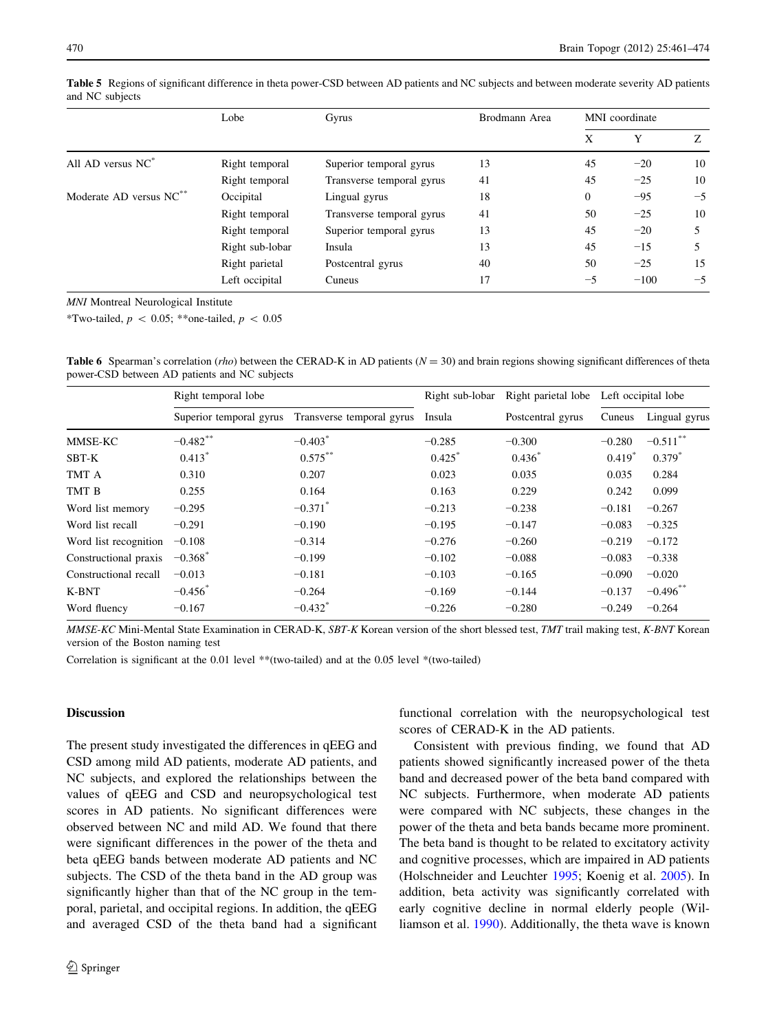|                                     | Lobe            | Gyrus                     | Brodmann Area | MNI coordinate |        |      |
|-------------------------------------|-----------------|---------------------------|---------------|----------------|--------|------|
|                                     |                 |                           |               | X              | Y      | Z    |
| All AD versus $NC^*$                | Right temporal  | Superior temporal gyrus   | 13            | 45             | $-20$  | 10   |
|                                     | Right temporal  | Transverse temporal gyrus | 41            | 45             | $-25$  | 10   |
| Moderate AD versus NC <sup>**</sup> | Occipital       | Lingual gyrus             | 18            | $\overline{0}$ | $-95$  | $-5$ |
|                                     | Right temporal  | Transverse temporal gyrus | 41            | 50             | $-25$  | 10   |
|                                     | Right temporal  | Superior temporal gyrus   | 13            | 45             | $-20$  |      |
|                                     | Right sub-lobar | Insula                    | 13            | 45             | $-15$  |      |
|                                     | Right parietal  | Postcentral gyrus         | 40            | 50             | $-25$  | 15   |
|                                     | Left occipital  | Cuneus                    | 17            | -5             | $-100$ | $-5$ |

<span id="page-9-0"></span>Table 5 Regions of significant difference in theta power-CSD between AD patients and NC subjects and between moderate severity AD patients and NC subjects

MNI Montreal Neurological Institute

\*Two-tailed,  $p \, < 0.05$ ; \*\*one-tailed,  $p \, < 0.05$ 

**Table 6** Spearman's correlation (*rho*) between the CERAD-K in AD patients ( $N = 30$ ) and brain regions showing significant differences of theta power-CSD between AD patients and NC subjects

|                       | Right temporal lobe     |                           | Right sub-lobar      | Right parietal lobe |          | Left occipital lobe    |
|-----------------------|-------------------------|---------------------------|----------------------|---------------------|----------|------------------------|
|                       | Superior temporal gyrus | Transverse temporal gyrus | Insula               | Postcentral gyrus   | Cuneus   | Lingual gyrus          |
| MMSE-KC               | $-0.482$ **             | $-0.403^*$                | $-0.285$             | $-0.300$            | $-0.280$ | $-0.511$ <sup>**</sup> |
| SBT-K                 | $0.413*$                | $0.575***$                | $0.425$ <sup>*</sup> | $0.436^{*}$         | $0.419*$ | $0.379^{*}$            |
| TMT A                 | 0.310                   | 0.207                     | 0.023                | 0.035               | 0.035    | 0.284                  |
| TMT B                 | 0.255                   | 0.164                     | 0.163                | 0.229               | 0.242    | 0.099                  |
| Word list memory      | $-0.295$                | $-0.371$ <sup>*</sup>     | $-0.213$             | $-0.238$            | $-0.181$ | $-0.267$               |
| Word list recall      | $-0.291$                | $-0.190$                  | $-0.195$             | $-0.147$            | $-0.083$ | $-0.325$               |
| Word list recognition | $-0.108$                | $-0.314$                  | $-0.276$             | $-0.260$            | $-0.219$ | $-0.172$               |
| Constructional praxis | $-0.368$ <sup>*</sup>   | $-0.199$                  | $-0.102$             | $-0.088$            | $-0.083$ | $-0.338$               |
| Constructional recall | $-0.013$                | $-0.181$                  | $-0.103$             | $-0.165$            | $-0.090$ | $-0.020$               |
| K-BNT                 | $-0.456^*$              | $-0.264$                  | $-0.169$             | $-0.144$            | $-0.137$ | $-0.496$ **            |
| Word fluency          | $-0.167$                | $-0.432$ <sup>*</sup>     | $-0.226$             | $-0.280$            | $-0.249$ | $-0.264$               |

MMSE-KC Mini-Mental State Examination in CERAD-K, SBT-K Korean version of the short blessed test, TMT trail making test, K-BNT Korean version of the Boston naming test

Correlation is significant at the 0.01 level \*\*(two-tailed) and at the 0.05 level \*(two-tailed)

# Discussion

The present study investigated the differences in qEEG and CSD among mild AD patients, moderate AD patients, and NC subjects, and explored the relationships between the values of qEEG and CSD and neuropsychological test scores in AD patients. No significant differences were observed between NC and mild AD. We found that there were significant differences in the power of the theta and beta qEEG bands between moderate AD patients and NC subjects. The CSD of the theta band in the AD group was significantly higher than that of the NC group in the temporal, parietal, and occipital regions. In addition, the qEEG and averaged CSD of the theta band had a significant functional correlation with the neuropsychological test scores of CERAD-K in the AD patients.

Consistent with previous finding, we found that AD patients showed significantly increased power of the theta band and decreased power of the beta band compared with NC subjects. Furthermore, when moderate AD patients were compared with NC subjects, these changes in the power of the theta and beta bands became more prominent. The beta band is thought to be related to excitatory activity and cognitive processes, which are impaired in AD patients (Holschneider and Leuchter [1995](#page-12-0); Koenig et al. [2005\)](#page-12-0). In addition, beta activity was significantly correlated with early cognitive decline in normal elderly people (Williamson et al. [1990\)](#page-13-0). Additionally, the theta wave is known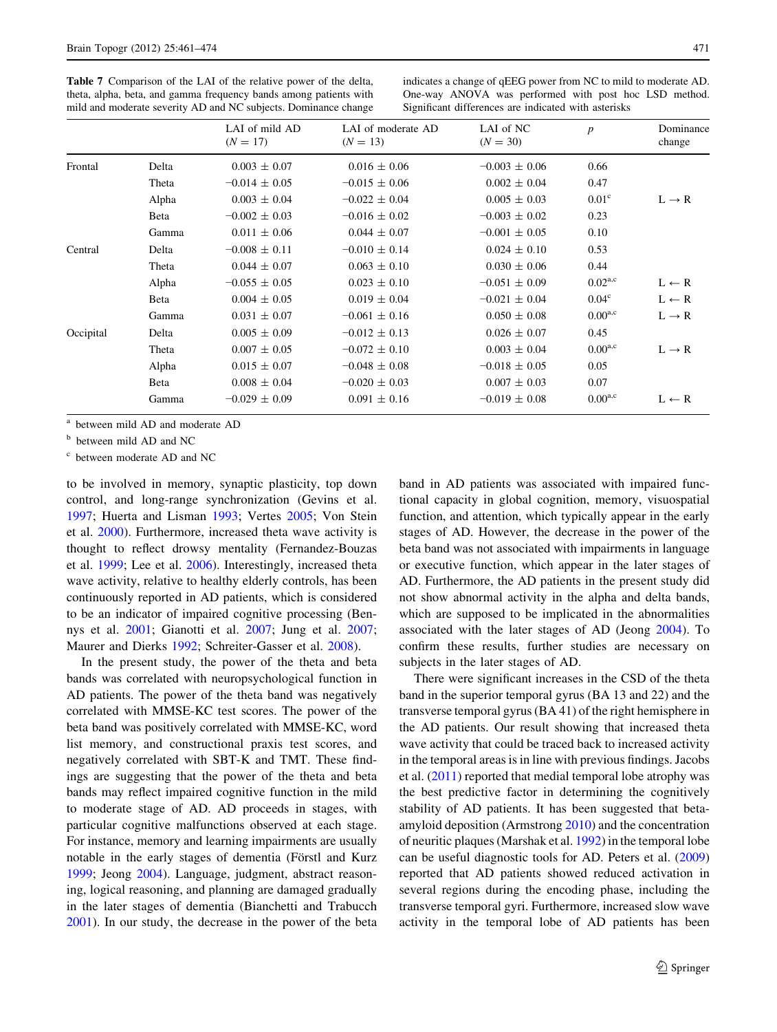<span id="page-10-0"></span>Table 7 Comparison of the LAI of the relative power of the delta, theta, alpha, beta, and gamma frequency bands among patients with mild and moderate severity AD and NC subjects. Dominance change

indicates a change of qEEG power from NC to mild to moderate AD. One-way ANOVA was performed with post hoc LSD method. Significant differences are indicated with asterisks

|           |       | LAI of mild AD<br>$(N = 17)$ | LAI of moderate AD<br>$(N = 13)$ | LAI of NC<br>$(N = 30)$ | $\boldsymbol{p}$  | Dominance<br>change |
|-----------|-------|------------------------------|----------------------------------|-------------------------|-------------------|---------------------|
| Frontal   | Delta | $0.003 \pm 0.07$             | $0.016 \pm 0.06$                 | $-0.003 \pm 0.06$       | 0.66              |                     |
|           | Theta | $-0.014 \pm 0.05$            | $-0.015 \pm 0.06$                | $0.002 \pm 0.04$        | 0.47              |                     |
|           | Alpha | $0.003 \pm 0.04$             | $-0.022 \pm 0.04$                | $0.005 \pm 0.03$        | 0.01 <sup>c</sup> | $L \rightarrow R$   |
|           | Beta  | $-0.002 \pm 0.03$            | $-0.016 \pm 0.02$                | $-0.003 \pm 0.02$       | 0.23              |                     |
|           | Gamma | $0.011 \pm 0.06$             | $0.044 \pm 0.07$                 | $-0.001 \pm 0.05$       | 0.10              |                     |
| Central   | Delta | $-0.008 \pm 0.11$            | $-0.010 \pm 0.14$                | $0.024 \pm 0.10$        | 0.53              |                     |
|           | Theta | $0.044 \pm 0.07$             | $0.063 \pm 0.10$                 | $0.030 \pm 0.06$        | 0.44              |                     |
|           | Alpha | $-0.055 \pm 0.05$            | $0.023 \pm 0.10$                 | $-0.051 \pm 0.09$       | $0.02^{a,c}$      | $L \leftarrow R$    |
|           | Beta  | $0.004 \pm 0.05$             | $0.019 \pm 0.04$                 | $-0.021 \pm 0.04$       | 0.04 <sup>c</sup> | $L \leftarrow R$    |
|           | Gamma | $0.031 \pm 0.07$             | $-0.061 \pm 0.16$                | $0.050 \pm 0.08$        | $0.00^{a,c}$      | $L \rightarrow R$   |
| Occipital | Delta | $0.005 \pm 0.09$             | $-0.012 \pm 0.13$                | $0.026 \pm 0.07$        | 0.45              |                     |
|           | Theta | $0.007 \pm 0.05$             | $-0.072 \pm 0.10$                | $0.003 \pm 0.04$        | $0.00^{a,c}$      | $L \rightarrow R$   |
|           | Alpha | $0.015 \pm 0.07$             | $-0.048 \pm 0.08$                | $-0.018 \pm 0.05$       | 0.05              |                     |
|           | Beta  | $0.008 \pm 0.04$             | $-0.020 \pm 0.03$                | $0.007 \pm 0.03$        | 0.07              |                     |
|           | Gamma | $-0.029 \pm 0.09$            | $0.091 \pm 0.16$                 | $-0.019 \pm 0.08$       | $0.00^{a,c}$      | $L \leftarrow R$    |

<sup>a</sup> between mild AD and moderate AD

<sup>b</sup> between mild AD and NC

<sup>c</sup> between moderate AD and NC

to be involved in memory, synaptic plasticity, top down control, and long-range synchronization (Gevins et al. [1997;](#page-12-0) Huerta and Lisman [1993;](#page-12-0) Vertes [2005](#page-13-0); Von Stein et al. [2000\)](#page-13-0). Furthermore, increased theta wave activity is thought to reflect drowsy mentality (Fernandez-Bouzas et al. [1999;](#page-12-0) Lee et al. [2006\)](#page-12-0). Interestingly, increased theta wave activity, relative to healthy elderly controls, has been continuously reported in AD patients, which is considered to be an indicator of impaired cognitive processing (Bennys et al. [2001](#page-12-0); Gianotti et al. [2007](#page-12-0); Jung et al. [2007](#page-12-0); Maurer and Dierks [1992](#page-13-0); Schreiter-Gasser et al. [2008](#page-13-0)).

In the present study, the power of the theta and beta bands was correlated with neuropsychological function in AD patients. The power of the theta band was negatively correlated with MMSE-KC test scores. The power of the beta band was positively correlated with MMSE-KC, word list memory, and constructional praxis test scores, and negatively correlated with SBT-K and TMT. These findings are suggesting that the power of the theta and beta bands may reflect impaired cognitive function in the mild to moderate stage of AD. AD proceeds in stages, with particular cognitive malfunctions observed at each stage. For instance, memory and learning impairments are usually notable in the early stages of dementia (Förstl and Kurz [1999;](#page-12-0) Jeong [2004\)](#page-12-0). Language, judgment, abstract reasoning, logical reasoning, and planning are damaged gradually in the later stages of dementia (Bianchetti and Trabucch [2001\)](#page-12-0). In our study, the decrease in the power of the beta band in AD patients was associated with impaired functional capacity in global cognition, memory, visuospatial function, and attention, which typically appear in the early stages of AD. However, the decrease in the power of the beta band was not associated with impairments in language or executive function, which appear in the later stages of AD. Furthermore, the AD patients in the present study did not show abnormal activity in the alpha and delta bands, which are supposed to be implicated in the abnormalities associated with the later stages of AD (Jeong [2004](#page-12-0)). To confirm these results, further studies are necessary on subjects in the later stages of AD.

There were significant increases in the CSD of the theta band in the superior temporal gyrus (BA 13 and 22) and the transverse temporal gyrus (BA 41) of the right hemisphere in the AD patients. Our result showing that increased theta wave activity that could be traced back to increased activity in the temporal areas is in line with previous findings. Jacobs et al. ([2011\)](#page-12-0) reported that medial temporal lobe atrophy was the best predictive factor in determining the cognitively stability of AD patients. It has been suggested that betaamyloid deposition (Armstrong [2010](#page-12-0)) and the concentration of neuritic plaques (Marshak et al. [1992](#page-13-0)) in the temporal lobe can be useful diagnostic tools for AD. Peters et al. ([2009\)](#page-13-0) reported that AD patients showed reduced activation in several regions during the encoding phase, including the transverse temporal gyri. Furthermore, increased slow wave activity in the temporal lobe of AD patients has been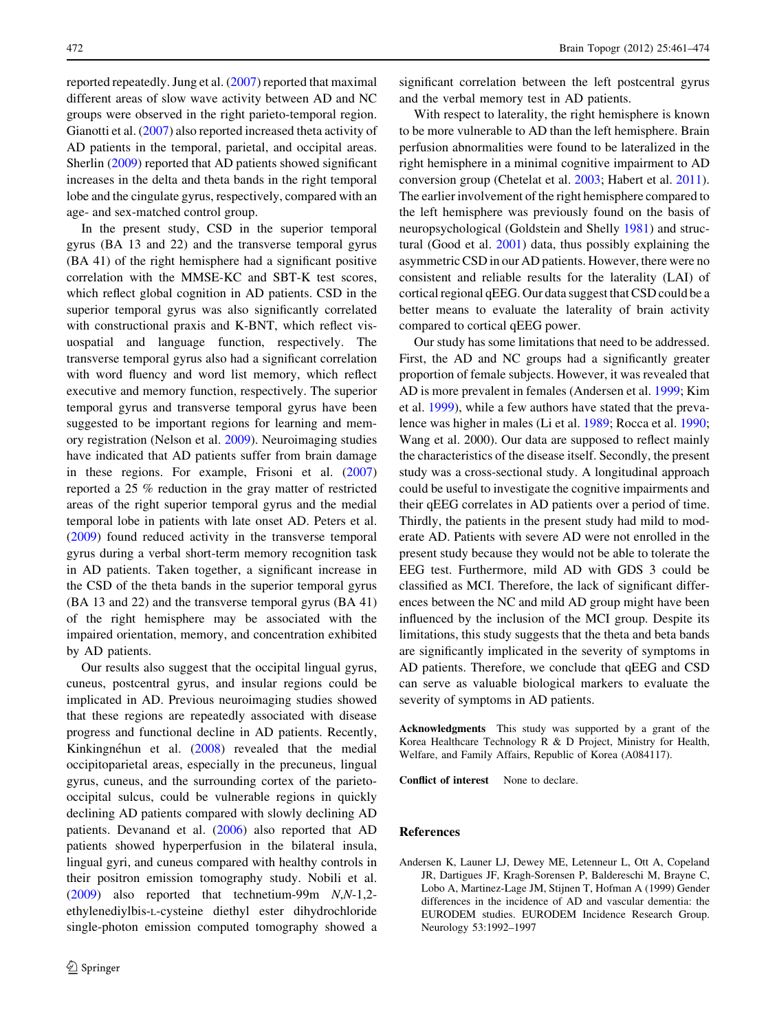reported repeatedly. Jung et al. ([2007\)](#page-12-0) reported that maximal different areas of slow wave activity between AD and NC groups were observed in the right parieto-temporal region. Gianotti et al. ([2007\)](#page-12-0) also reported increased theta activity of AD patients in the temporal, parietal, and occipital areas. Sherlin ([2009\)](#page-13-0) reported that AD patients showed significant increases in the delta and theta bands in the right temporal lobe and the cingulate gyrus, respectively, compared with an age- and sex-matched control group.

In the present study, CSD in the superior temporal gyrus (BA 13 and 22) and the transverse temporal gyrus (BA 41) of the right hemisphere had a significant positive correlation with the MMSE-KC and SBT-K test scores, which reflect global cognition in AD patients. CSD in the superior temporal gyrus was also significantly correlated with constructional praxis and K-BNT, which reflect visuospatial and language function, respectively. The transverse temporal gyrus also had a significant correlation with word fluency and word list memory, which reflect executive and memory function, respectively. The superior temporal gyrus and transverse temporal gyrus have been suggested to be important regions for learning and memory registration (Nelson et al. [2009](#page-13-0)). Neuroimaging studies have indicated that AD patients suffer from brain damage in these regions. For example, Frisoni et al. ([2007\)](#page-12-0) reported a 25 % reduction in the gray matter of restricted areas of the right superior temporal gyrus and the medial temporal lobe in patients with late onset AD. Peters et al. [\(2009](#page-13-0)) found reduced activity in the transverse temporal gyrus during a verbal short-term memory recognition task in AD patients. Taken together, a significant increase in the CSD of the theta bands in the superior temporal gyrus (BA 13 and 22) and the transverse temporal gyrus (BA 41) of the right hemisphere may be associated with the impaired orientation, memory, and concentration exhibited by AD patients.

Our results also suggest that the occipital lingual gyrus, cuneus, postcentral gyrus, and insular regions could be implicated in AD. Previous neuroimaging studies showed that these regions are repeatedly associated with disease progress and functional decline in AD patients. Recently, Kinkingnéhun et al. [\(2008](#page-12-0)) revealed that the medial occipitoparietal areas, especially in the precuneus, lingual gyrus, cuneus, and the surrounding cortex of the parietooccipital sulcus, could be vulnerable regions in quickly declining AD patients compared with slowly declining AD patients. Devanand et al. [\(2006](#page-12-0)) also reported that AD patients showed hyperperfusion in the bilateral insula, lingual gyri, and cuneus compared with healthy controls in their positron emission tomography study. Nobili et al. [\(2009](#page-13-0)) also reported that technetium-99m N,N-1,2 ethylenediylbis-L-cysteine diethyl ester dihydrochloride single-photon emission computed tomography showed a significant correlation between the left postcentral gyrus and the verbal memory test in AD patients.

With respect to laterality, the right hemisphere is known to be more vulnerable to AD than the left hemisphere. Brain perfusion abnormalities were found to be lateralized in the right hemisphere in a minimal cognitive impairment to AD conversion group (Chetelat et al. [2003;](#page-12-0) Habert et al. [2011](#page-12-0)). The earlier involvement of the right hemisphere compared to the left hemisphere was previously found on the basis of neuropsychological (Goldstein and Shelly [1981](#page-12-0)) and structural (Good et al. [2001](#page-12-0)) data, thus possibly explaining the asymmetric CSD in our AD patients. However, there were no consistent and reliable results for the laterality (LAI) of cortical regional qEEG. Our data suggest that CSD could be a better means to evaluate the laterality of brain activity compared to cortical qEEG power.

Our study has some limitations that need to be addressed. First, the AD and NC groups had a significantly greater proportion of female subjects. However, it was revealed that AD is more prevalent in females (Andersen et al. 1999; Kim et al. [1999](#page-12-0)), while a few authors have stated that the prevalence was higher in males (Li et al. [1989](#page-13-0); Rocca et al. [1990](#page-13-0); Wang et al. 2000). Our data are supposed to reflect mainly the characteristics of the disease itself. Secondly, the present study was a cross-sectional study. A longitudinal approach could be useful to investigate the cognitive impairments and their qEEG correlates in AD patients over a period of time. Thirdly, the patients in the present study had mild to moderate AD. Patients with severe AD were not enrolled in the present study because they would not be able to tolerate the EEG test. Furthermore, mild AD with GDS 3 could be classified as MCI. Therefore, the lack of significant differences between the NC and mild AD group might have been influenced by the inclusion of the MCI group. Despite its limitations, this study suggests that the theta and beta bands are significantly implicated in the severity of symptoms in AD patients. Therefore, we conclude that qEEG and CSD can serve as valuable biological markers to evaluate the severity of symptoms in AD patients.

Acknowledgments This study was supported by a grant of the Korea Healthcare Technology R & D Project, Ministry for Health, Welfare, and Family Affairs, Republic of Korea (A084117).

Conflict of interest None to declare.

# References

Andersen K, Launer LJ, Dewey ME, Letenneur L, Ott A, Copeland JR, Dartigues JF, Kragh-Sorensen P, Baldereschi M, Brayne C, Lobo A, Martinez-Lage JM, Stijnen T, Hofman A (1999) Gender differences in the incidence of AD and vascular dementia: the EURODEM studies. EURODEM Incidence Research Group. Neurology 53:1992–1997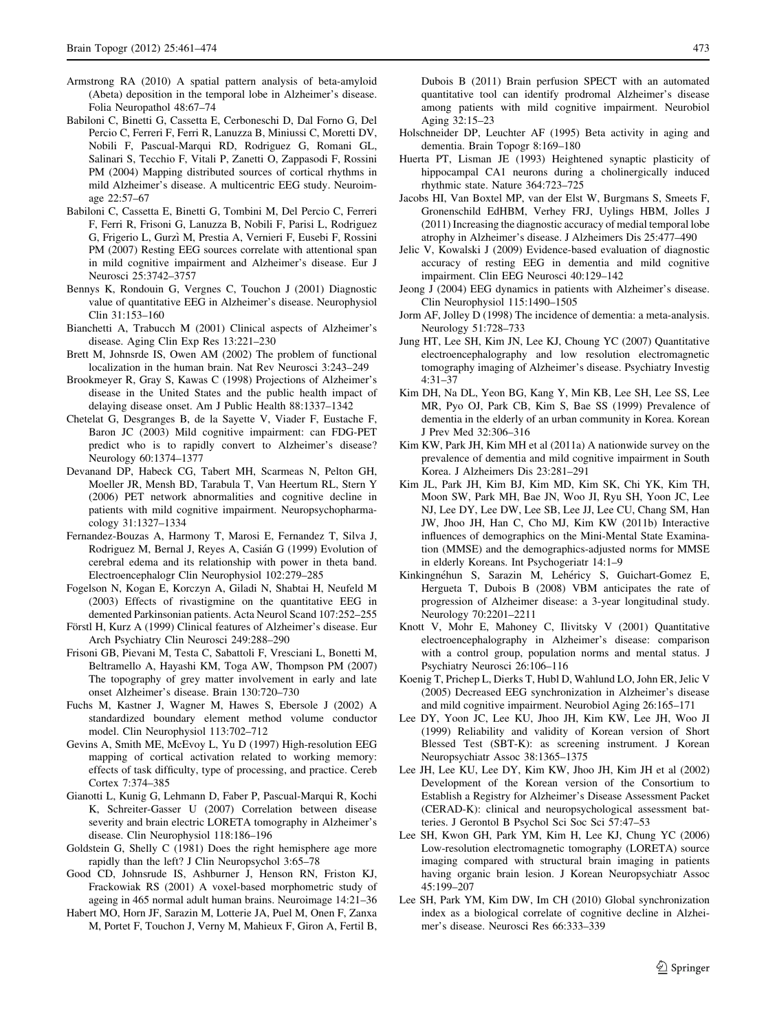- <span id="page-12-0"></span>Armstrong RA (2010) A spatial pattern analysis of beta-amyloid (Abeta) deposition in the temporal lobe in Alzheimer's disease. Folia Neuropathol 48:67–74
- Babiloni C, Binetti G, Cassetta E, Cerboneschi D, Dal Forno G, Del Percio C, Ferreri F, Ferri R, Lanuzza B, Miniussi C, Moretti DV, Nobili F, Pascual-Marqui RD, Rodriguez G, Romani GL, Salinari S, Tecchio F, Vitali P, Zanetti O, Zappasodi F, Rossini PM (2004) Mapping distributed sources of cortical rhythms in mild Alzheimer's disease. A multicentric EEG study. Neuroimage 22:57–67
- Babiloni C, Cassetta E, Binetti G, Tombini M, Del Percio C, Ferreri F, Ferri R, Frisoni G, Lanuzza B, Nobili F, Parisi L, Rodriguez G, Frigerio L, Gurzı` M, Prestia A, Vernieri F, Eusebi F, Rossini PM (2007) Resting EEG sources correlate with attentional span in mild cognitive impairment and Alzheimer's disease. Eur J Neurosci 25:3742–3757
- Bennys K, Rondouin G, Vergnes C, Touchon J (2001) Diagnostic value of quantitative EEG in Alzheimer's disease. Neurophysiol Clin 31:153–160
- Bianchetti A, Trabucch M (2001) Clinical aspects of Alzheimer's disease. Aging Clin Exp Res 13:221–230
- Brett M, Johnsrde IS, Owen AM (2002) The problem of functional localization in the human brain. Nat Rev Neurosci 3:243–249
- Brookmeyer R, Gray S, Kawas C (1998) Projections of Alzheimer's disease in the United States and the public health impact of delaying disease onset. Am J Public Health 88:1337–1342
- Chetelat G, Desgranges B, de la Sayette V, Viader F, Eustache F, Baron JC (2003) Mild cognitive impairment: can FDG-PET predict who is to rapidly convert to Alzheimer's disease? Neurology 60:1374–1377
- Devanand DP, Habeck CG, Tabert MH, Scarmeas N, Pelton GH, Moeller JR, Mensh BD, Tarabula T, Van Heertum RL, Stern Y (2006) PET network abnormalities and cognitive decline in patients with mild cognitive impairment. Neuropsychopharmacology 31:1327–1334
- Fernandez-Bouzas A, Harmony T, Marosi E, Fernandez T, Silva J, Rodriguez M, Bernal J, Reyes A, Casián G (1999) Evolution of cerebral edema and its relationship with power in theta band. Electroencephalogr Clin Neurophysiol 102:279–285
- Fogelson N, Kogan E, Korczyn A, Giladi N, Shabtai H, Neufeld M (2003) Effects of rivastigmine on the quantitative EEG in demented Parkinsonian patients. Acta Neurol Scand 107:252–255
- Förstl H, Kurz A (1999) Clinical features of Alzheimer's disease. Eur Arch Psychiatry Clin Neurosci 249:288–290
- Frisoni GB, Pievani M, Testa C, Sabattoli F, Vresciani L, Bonetti M, Beltramello A, Hayashi KM, Toga AW, Thompson PM (2007) The topography of grey matter involvement in early and late onset Alzheimer's disease. Brain 130:720–730
- Fuchs M, Kastner J, Wagner M, Hawes S, Ebersole J (2002) A standardized boundary element method volume conductor model. Clin Neurophysiol 113:702–712
- Gevins A, Smith ME, McEvoy L, Yu D (1997) High-resolution EEG mapping of cortical activation related to working memory: effects of task difficulty, type of processing, and practice. Cereb Cortex 7:374–385
- Gianotti L, Kunig G, Lehmann D, Faber P, Pascual-Marqui R, Kochi K, Schreiter-Gasser U (2007) Correlation between disease severity and brain electric LORETA tomography in Alzheimer's disease. Clin Neurophysiol 118:186–196
- Goldstein G, Shelly C (1981) Does the right hemisphere age more rapidly than the left? J Clin Neuropsychol 3:65–78
- Good CD, Johnsrude IS, Ashburner J, Henson RN, Friston KJ, Frackowiak RS (2001) A voxel-based morphometric study of ageing in 465 normal adult human brains. Neuroimage 14:21–36
- Habert MO, Horn JF, Sarazin M, Lotterie JA, Puel M, Onen F, Zanxa M, Portet F, Touchon J, Verny M, Mahieux F, Giron A, Fertil B,

Dubois B (2011) Brain perfusion SPECT with an automated quantitative tool can identify prodromal Alzheimer's disease among patients with mild cognitive impairment. Neurobiol Aging 32:15–23

- Holschneider DP, Leuchter AF (1995) Beta activity in aging and dementia. Brain Topogr 8:169–180
- Huerta PT, Lisman JE (1993) Heightened synaptic plasticity of hippocampal CA1 neurons during a cholinergically induced rhythmic state. Nature 364:723–725
- Jacobs HI, Van Boxtel MP, van der Elst W, Burgmans S, Smeets F, Gronenschild EdHBM, Verhey FRJ, Uylings HBM, Jolles J (2011) Increasing the diagnostic accuracy of medial temporal lobe atrophy in Alzheimer's disease. J Alzheimers Dis 25:477–490
- Jelic V, Kowalski J (2009) Evidence-based evaluation of diagnostic accuracy of resting EEG in dementia and mild cognitive impairment. Clin EEG Neurosci 40:129–142
- Jeong J (2004) EEG dynamics in patients with Alzheimer's disease. Clin Neurophysiol 115:1490–1505
- Jorm AF, Jolley D (1998) The incidence of dementia: a meta-analysis. Neurology 51:728–733
- Jung HT, Lee SH, Kim JN, Lee KJ, Choung YC (2007) Quantitative electroencephalography and low resolution electromagnetic tomography imaging of Alzheimer's disease. Psychiatry Investig 4:31–37
- Kim DH, Na DL, Yeon BG, Kang Y, Min KB, Lee SH, Lee SS, Lee MR, Pyo OJ, Park CB, Kim S, Bae SS (1999) Prevalence of dementia in the elderly of an urban community in Korea. Korean J Prev Med 32:306–316
- Kim KW, Park JH, Kim MH et al (2011a) A nationwide survey on the prevalence of dementia and mild cognitive impairment in South Korea. J Alzheimers Dis 23:281–291
- Kim JL, Park JH, Kim BJ, Kim MD, Kim SK, Chi YK, Kim TH, Moon SW, Park MH, Bae JN, Woo JI, Ryu SH, Yoon JC, Lee NJ, Lee DY, Lee DW, Lee SB, Lee JJ, Lee CU, Chang SM, Han JW, Jhoo JH, Han C, Cho MJ, Kim KW (2011b) Interactive influences of demographics on the Mini-Mental State Examination (MMSE) and the demographics-adjusted norms for MMSE in elderly Koreans. Int Psychogeriatr 14:1–9
- Kinkingnéhun S, Sarazin M, Lehéricy S, Guichart-Gomez E, Hergueta T, Dubois B (2008) VBM anticipates the rate of progression of Alzheimer disease: a 3-year longitudinal study. Neurology 70:2201–2211
- Knott V, Mohr E, Mahoney C, Ilivitsky V (2001) Quantitative electroencephalography in Alzheimer's disease: comparison with a control group, population norms and mental status. J Psychiatry Neurosci 26:106–116
- Koenig T, Prichep L, Dierks T, Hubl D, Wahlund LO, John ER, Jelic V (2005) Decreased EEG synchronization in Alzheimer's disease and mild cognitive impairment. Neurobiol Aging 26:165–171
- Lee DY, Yoon JC, Lee KU, Jhoo JH, Kim KW, Lee JH, Woo JI (1999) Reliability and validity of Korean version of Short Blessed Test (SBT-K): as screening instrument. J Korean Neuropsychiatr Assoc 38:1365–1375
- Lee JH, Lee KU, Lee DY, Kim KW, Jhoo JH, Kim JH et al (2002) Development of the Korean version of the Consortium to Establish a Registry for Alzheimer's Disease Assessment Packet (CERAD-K): clinical and neuropsychological assessment batteries. J Gerontol B Psychol Sci Soc Sci 57:47–53
- Lee SH, Kwon GH, Park YM, Kim H, Lee KJ, Chung YC (2006) Low-resolution electromagnetic tomography (LORETA) source imaging compared with structural brain imaging in patients having organic brain lesion. J Korean Neuropsychiatr Assoc 45:199–207
- Lee SH, Park YM, Kim DW, Im CH (2010) Global synchronization index as a biological correlate of cognitive decline in Alzheimer's disease. Neurosci Res 66:333–339